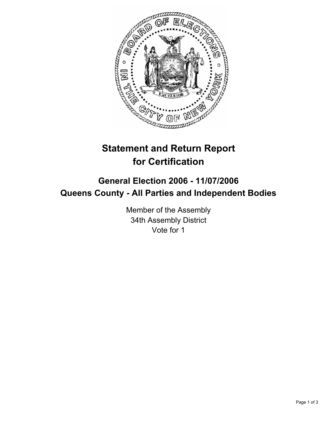

# **Statement and Return Report for Certification**

# **General Election 2006 - 11/07/2006 Queens County - All Parties and Independent Bodies**

Member of the Assembly 34th Assembly District Vote for 1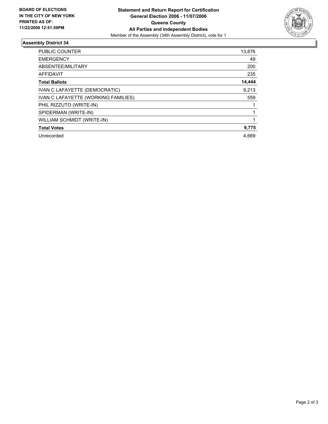

## **Assembly District 34**

| PUBLIC COUNTER                      | 13,876 |
|-------------------------------------|--------|
| <b>EMERGENCY</b>                    | 49     |
| ABSENTEE/MILITARY                   | 200    |
| <b>AFFIDAVIT</b>                    | 235    |
| <b>Total Ballots</b>                | 14,444 |
| IVAN C LAFAYETTE (DEMOCRATIC)       | 9,213  |
| IVAN C LAFAYETTE (WORKING FAMILIES) | 559    |
| PHIL RIZZUTO (WRITE-IN)             |        |
| SPIDERMAN (WRITE-IN)                |        |
| WILLIAM SCHMIDT (WRITE-IN)          |        |
| <b>Total Votes</b>                  | 9,775  |
| Unrecorded                          | 4,669  |